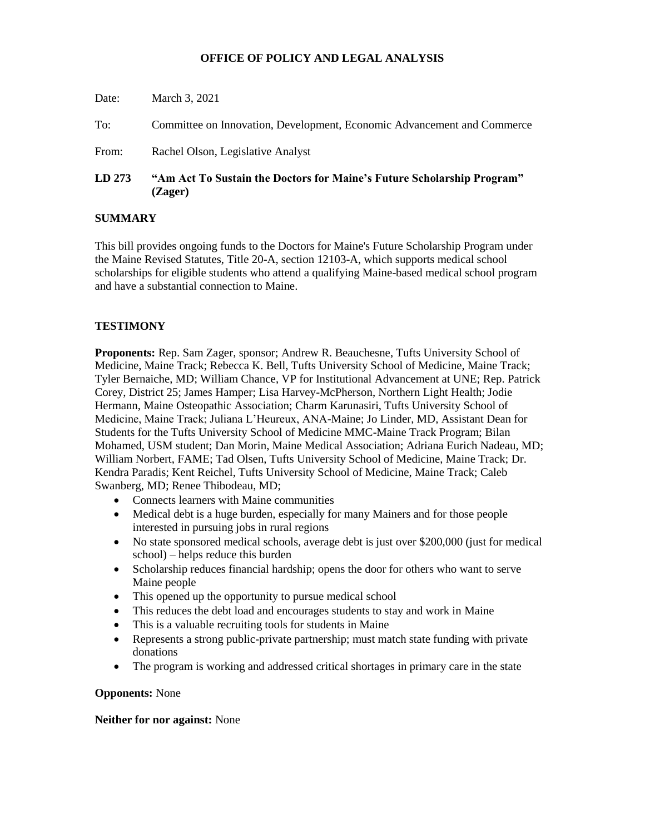# **OFFICE OF POLICY AND LEGAL ANALYSIS**

| LD273 | "Am Act To Sustain the Doctors for Maine's Future Scholarship Program"<br>(Zager) |
|-------|-----------------------------------------------------------------------------------|
| From: | Rachel Olson, Legislative Analyst                                                 |
| To:   | Committee on Innovation, Development, Economic Advancement and Commerce           |
| Date: | March 3, 2021                                                                     |

## **SUMMARY**

This bill provides ongoing funds to the Doctors for Maine's Future Scholarship Program under the Maine Revised Statutes, Title 20-A, section 12103-A, which supports medical school scholarships for eligible students who attend a qualifying Maine-based medical school program and have a substantial connection to Maine.

## **TESTIMONY**

**Proponents:** Rep. Sam Zager, sponsor; Andrew R. Beauchesne, Tufts University School of Medicine, Maine Track; Rebecca K. Bell, Tufts University School of Medicine, Maine Track; Tyler Bernaiche, MD; William Chance, VP for Institutional Advancement at UNE; Rep. Patrick Corey, District 25; James Hamper; Lisa Harvey-McPherson, Northern Light Health; Jodie Hermann, Maine Osteopathic Association; Charm Karunasiri, Tufts University School of Medicine, Maine Track; Juliana L'Heureux, ANA-Maine; Jo Linder, MD, Assistant Dean for Students for the Tufts University School of Medicine MMC-Maine Track Program; Bilan Mohamed, USM student; Dan Morin, Maine Medical Association; Adriana Eurich Nadeau, MD; William Norbert, FAME; Tad Olsen, Tufts University School of Medicine, Maine Track; Dr. Kendra Paradis; Kent Reichel, Tufts University School of Medicine, Maine Track; Caleb Swanberg, MD; Renee Thibodeau, MD;

- Connects learners with Maine communities
- Medical debt is a huge burden, especially for many Mainers and for those people interested in pursuing jobs in rural regions
- No state sponsored medical schools, average debt is just over \$200,000 (just for medical school) – helps reduce this burden
- Scholarship reduces financial hardship; opens the door for others who want to serve Maine people
- This opened up the opportunity to pursue medical school
- This reduces the debt load and encourages students to stay and work in Maine
- This is a valuable recruiting tools for students in Maine
- Represents a strong public-private partnership; must match state funding with private donations
- The program is working and addressed critical shortages in primary care in the state

#### **Opponents:** None

#### **Neither for nor against:** None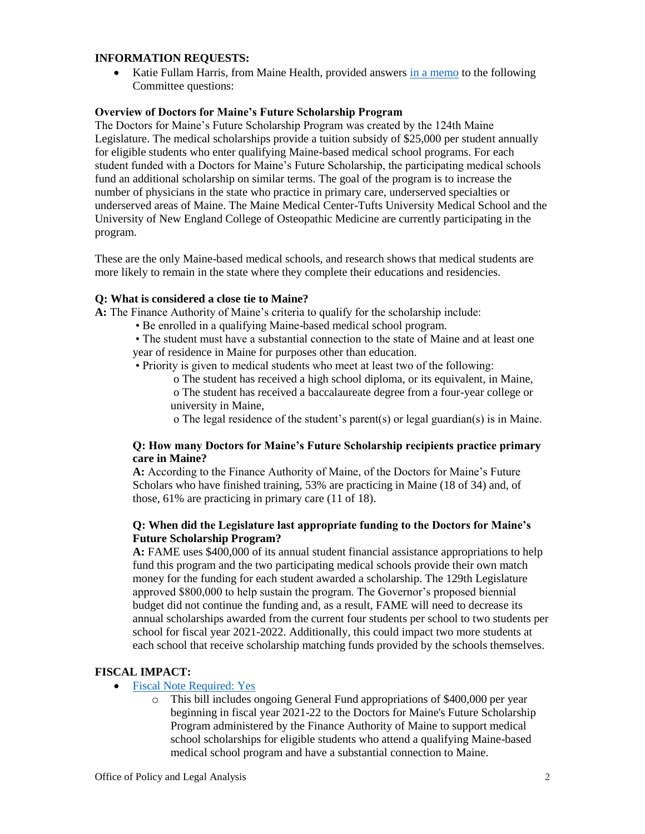### **INFORMATION REQUESTS:**

• Katie Fullam Harris, from Maine Health, provided answers [in a memo](file:///G:/COMMITTEES/IDEA/Bill%20Analysis/130%201st/LD%20273/LD%20273%20IDEA%20Memo%20Maine%20Health.pdf) to the following Committee questions:

#### **Overview of Doctors for Maine's Future Scholarship Program**

The Doctors for Maine's Future Scholarship Program was created by the 124th Maine Legislature. The medical scholarships provide a tuition subsidy of \$25,000 per student annually for eligible students who enter qualifying Maine-based medical school programs. For each student funded with a Doctors for Maine's Future Scholarship, the participating medical schools fund an additional scholarship on similar terms. The goal of the program is to increase the number of physicians in the state who practice in primary care, underserved specialties or underserved areas of Maine. The Maine Medical Center-Tufts University Medical School and the University of New England College of Osteopathic Medicine are currently participating in the program.

These are the only Maine-based medical schools, and research shows that medical students are more likely to remain in the state where they complete their educations and residencies.

## **Q: What is considered a close tie to Maine?**

**A:** The Finance Authority of Maine's criteria to qualify for the scholarship include:

• Be enrolled in a qualifying Maine-based medical school program.

• The student must have a substantial connection to the state of Maine and at least one year of residence in Maine for purposes other than education.

• Priority is given to medical students who meet at least two of the following:

o The student has received a high school diploma, or its equivalent, in Maine,

o The student has received a baccalaureate degree from a four-year college or university in Maine,

o The legal residence of the student's parent(s) or legal guardian(s) is in Maine.

## **Q: How many Doctors for Maine's Future Scholarship recipients practice primary care in Maine?**

**A:** According to the Finance Authority of Maine, of the Doctors for Maine's Future Scholars who have finished training, 53% are practicing in Maine (18 of 34) and, of those, 61% are practicing in primary care (11 of 18).

## **Q: When did the Legislature last appropriate funding to the Doctors for Maine's Future Scholarship Program?**

**A:** FAME uses \$400,000 of its annual student financial assistance appropriations to help fund this program and the two participating medical schools provide their own match money for the funding for each student awarded a scholarship. The 129th Legislature approved \$800,000 to help sustain the program. The Governor's proposed biennial budget did not continue the funding and, as a result, FAME will need to decrease its annual scholarships awarded from the current four students per school to two students per school for fiscal year 2021-2022. Additionally, this could impact two more students at each school that receive scholarship matching funds provided by the schools themselves.

# **FISCAL IMPACT:**

- [Fiscal Note Required: Yes](http://www.mainelegislature.org/legis/bills/bills_130th/fiscalpdfs/FN027301.pdf)
	- o This bill includes ongoing General Fund appropriations of \$400,000 per year beginning in fiscal year 2021-22 to the Doctors for Maine's Future Scholarship Program administered by the Finance Authority of Maine to support medical school scholarships for eligible students who attend a qualifying Maine-based medical school program and have a substantial connection to Maine.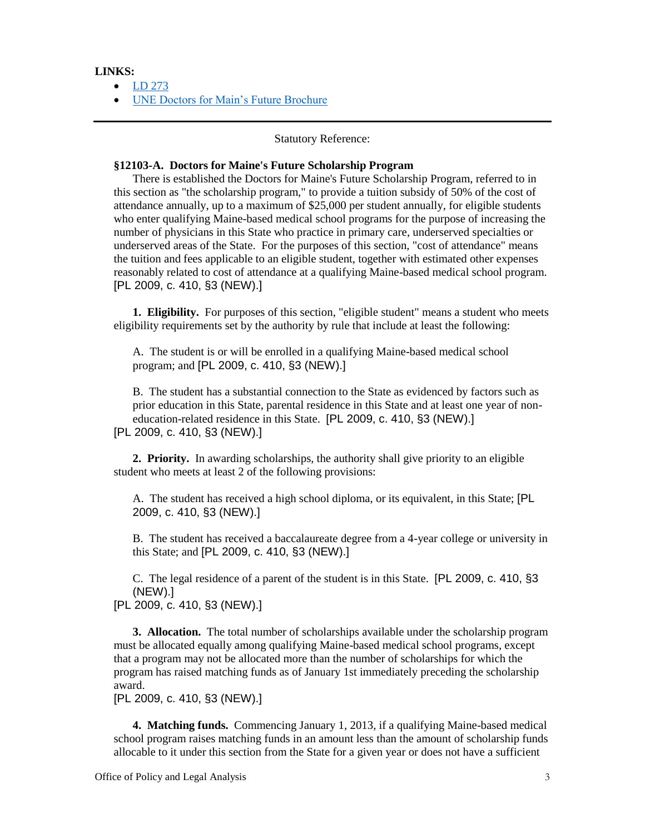#### **LINKS:**

• [LD 273](http://www.mainelegislature.org/legis/bills/getPDF.asp?paper=HP0189&item=1&snum=130)

[UNE Doctors for Main's Future Brochure](UNE%20Doctors%20For%20Maine)

#### Statutory Reference:

#### **§12103-A. Doctors for Maine's Future Scholarship Program**

There is established the Doctors for Maine's Future Scholarship Program, referred to in this section as "the scholarship program," to provide a tuition subsidy of 50% of the cost of attendance annually, up to a maximum of \$25,000 per student annually, for eligible students who enter qualifying Maine-based medical school programs for the purpose of increasing the number of physicians in this State who practice in primary care, underserved specialties or underserved areas of the State. For the purposes of this section, "cost of attendance" means the tuition and fees applicable to an eligible student, together with estimated other expenses reasonably related to cost of attendance at a qualifying Maine-based medical school program. [PL 2009, c. 410, §3 (NEW).]

**1. Eligibility.** For purposes of this section, "eligible student" means a student who meets eligibility requirements set by the authority by rule that include at least the following:

A. The student is or will be enrolled in a qualifying Maine-based medical school program; and [PL 2009, c. 410, §3 (NEW).]

B. The student has a substantial connection to the State as evidenced by factors such as prior education in this State, parental residence in this State and at least one year of noneducation-related residence in this State. [PL 2009, c. 410, §3 (NEW).]

[PL 2009, c. 410, §3 (NEW).]

**2. Priority.** In awarding scholarships, the authority shall give priority to an eligible student who meets at least 2 of the following provisions:

A. The student has received a high school diploma, or its equivalent, in this State; [PL 2009, c. 410, §3 (NEW).]

B. The student has received a baccalaureate degree from a 4-year college or university in this State; and [PL 2009, c. 410, §3 (NEW).]

C. The legal residence of a parent of the student is in this State. [PL 2009, c. 410, §3 (NEW).]

[PL 2009, c. 410, §3 (NEW).]

**3. Allocation.** The total number of scholarships available under the scholarship program must be allocated equally among qualifying Maine-based medical school programs, except that a program may not be allocated more than the number of scholarships for which the program has raised matching funds as of January 1st immediately preceding the scholarship award.

[PL 2009, c. 410, §3 (NEW).]

**4. Matching funds.** Commencing January 1, 2013, if a qualifying Maine-based medical school program raises matching funds in an amount less than the amount of scholarship funds allocable to it under this section from the State for a given year or does not have a sufficient